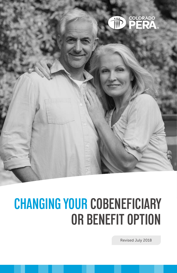

# **CHANGING YOUR COBENEFICIARY OR BENEFIT OPTION**

Revised July 2018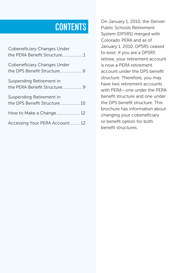## **CONTENTS**

| Cobeneficiary Changes Under<br>the PERA Benefit Structure1 |
|------------------------------------------------------------|
| Cobeneficiary Changes Under                                |
| Suspending Retirement in                                   |
| Suspending Retirement in<br>the DPS Benefit Structure 10   |
| How to Make a Change 12                                    |
| Accessing Your PERA Account 12                             |

On January 1, 2010, the Denver Public Schools Retirement System (DPSRS) merged with Colorado PERA and as of January 1, 2010, DPSRS ceased to exist. If you are a DPSRS retiree, your retirement account is now a PERA retirement account under the DPS benefit structure. Therefore, you may have two retirement accounts with PERA—one under the PERA benefit structure and one under the DPS benefit structure. This brochure has information about changing your cobeneficiary or benefit option for both benefit structures.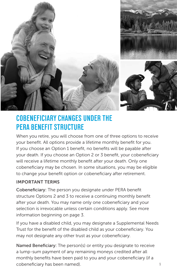

## **COBENEFICIARY CHANGES UNDER THE PERA BENEFIT STRUCTURE**

When you retire, you will choose from one of three options to receive your benefit. All options provide a lifetime monthly benefit for you. If you choose an Option 1 benefit, no benefits will be payable after your death. If you choose an Option 2 or 3 benefit, your cobeneficiary will receive a lifetime monthly benefit after your death. Only one cobeneficiary may be chosen. In some situations, you may be eligible to change your benefit option or cobeneficiary after retirement.

#### IMPORTANT TERMS

Cobeneficiary: The person you designate under PERA benefit structure Options 2 and 3 to receive a continuing monthly benefit after your death. You may name only one cobeneficiary and your selection is irrevocable unless certain conditions apply. See more information beginning on page 3.

If you have a disabled child, you may designate a Supplemental Needs Trust for the benefit of the disabled child as your cobeneficiary. You may not designate any other trust as your cobeneficiary.

Named Beneficiary: The person(s) or entity you designate to receive a lump-sum payment of any remaining moneys credited after all monthly benefits have been paid to you and your cobeneficiary (if a cobeneficiary has been named).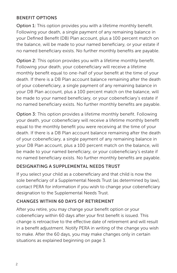#### BENEFIT OPTIONS

Option 1: This option provides you with a lifetime monthly benefit. Following your death, a single payment of any remaining balance in your Defined Benefit (DB) Plan account, plus a 100 percent match on the balance, will be made to your named beneficiary, or your estate if no named beneficiary exists. No further monthly benefits are payable.

Option 2: This option provides you with a lifetime monthly benefit. Following your death, your cobeneficiary will receive a lifetime monthly benefit equal to one-half of your benefit at the time of your death. If there is a DB Plan account balance remaining after the death of your cobeneficiary, a single payment of any remaining balance in your DB Plan account, plus a 100 percent match on the balance, will be made to your named beneficiary, or your cobeneficiary's estate if no named beneficiary exists. No further monthly benefits are payable.

Option 3: This option provides a lifetime monthly benefit. Following your death, your cobeneficiary will receive a lifetime monthly benefit equal to the monthly benefit you were receiving at the time of your death. If there is a DB Plan account balance remaining after the death of your cobeneficiary, a single payment of any remaining balance in your DB Plan account, plus a 100 percent match on the balance, will be made to your named beneficiary, or your cobeneficiary's estate if no named beneficiary exists. No further monthly benefits are payable.

#### DESIGNATING A SUPPLEMENTAL NEEDS TRUST

If you select your child as a cobeneficiary and that child is now the sole beneficiary of a Supplemental Needs Trust (as determined by law), contact PERA for information if you wish to change your cobeneficiary designation to the Supplemental Needs Trust.

#### CHANGES WITHIN 60 DAYS OF RETIREMENT

After you retire, you may change your benefit option or your cobeneficiary within 60 days after your first benefit is issued. This change is retroactive to the effective date of retirement and will result in a benefit adjustment. Notify PERA in writing of the change you wish to make. After the 60 days, you may make changes only in certain situations as explained beginning on page 3.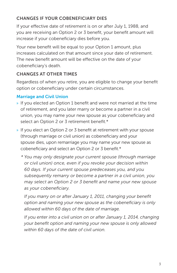#### CHANGES IF YOUR COBENEFICIARY DIES

If your effective date of retirement is on or after July 1, 1988, and you are receiving an Option 2 or 3 benefit, your benefit amount will increase if your cobeneficiary dies before you.

Your new benefit will be equal to your Option 1 amount, plus increases calculated on that amount since your date of retirement. The new benefit amount will be effective on the date of your cobeneficiary's death.

#### CHANGES AT OTHER TIMES

Regardless of when you retire, you are eligible to change your benefit option or cobeneficiary under certain circumstances.

#### Marriage and Civil Union

- » If you elected an Option 1 benefit and were not married at the time of retirement, and you later marry or become a partner in a civil union, you may name your new spouse as your cobeneficiary and select an Option 2 or 3 retirement benefit.\*
- » If you elect an Option 2 or 3 benefit at retirement with your spouse (through marriage or civil union) as cobeneficiary and your spouse dies, upon remarriage you may name your new spouse as cobeneficiary and select an Option 2 or 3 benefit.\*
	- *\* You may only designate your current spouse (through marriage or civil union) once, even if you revoke your decision within 60 days. If your current spouse predeceases you, and you subsequently remarry or become a partner in a civil union, you may select an Option 2 or 3 benefit and name your new spouse as your cobeneficiary.*

 *If you marry on or after January 1, 2011, changing your benefit option and naming your new spouse as the cobeneficiary is only allowed within 60 days of the date of marriage.*

*If you enter into a civil union on or after January 1, 2014, changing your benefit option and naming your new spouse is only allowed within 60 days of the date of civil union.*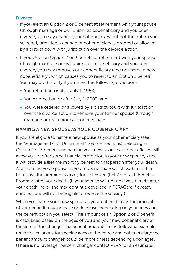#### **Divorce**

- » If you elect an Option 2 or 3 benefit at retirement with your spouse (through marriage or civil union) as cobeneficiary and you later divorce, you may change your cobeneficiary but not the option you selected, provided a change of cobeneficiary is ordered or allowed by a district court with jurisdiction over the divorce action.
- » If you elect an Option 2 or 3 benefit at retirement with your spouse (through marriage or civil union) as cobeneficiary and you later divorce, you may remove your cobeneficiary (and not name a new cobeneficiary), which causes you to revert to an Option 1 benefit. You may do this only if you meet the following conditions:
	- You retired on or after July 1, 1988;
	- You divorced on or after July 1, 2003; and
	- You were ordered or allowed by a district court with jurisdiction over the divorce action to remove your former spouse (through marriage or civil union) as cobeneficiary.

#### NAMING A NEW SPOUSE AS YOUR COBENEFICIARY

If you are eligible to name a new spouse as your cobeneficiary (see the "Marriage and Civil Union" and "Divorce" sections), selecting an Option 2 or 3 benefit and naming your new spouse as cobeneficiary will allow you to offer some financial protection to your new spouse, since it will provide a lifetime monthly benefit to that person after your death. Also, naming your spouse as your cobeneficiary will allow him or her to receive the premium subsidy for PERACare (PERA's Health Benefits Program) after your death. (If your spouse will not receive a benefit after your death, he or she may continue coverage in PERACare if already enrolled, but will not be eligible to receive the subsidy.)

When you name your new spouse as your cobeneficiary, the amount of your benefit may increase or decrease, depending on your ages and the benefit option you select. The amount of an Option 2 or 3 benefit is calculated based on the ages of you and your new cobeneficiary at the time of the change. The benefit amounts in the following examples reflect calculations for specific ages of the retiree and cobeneficiary; the benefit amount changes could be more or less depending upon ages. (There is no "average" percent change; contact PERA for an estimate.)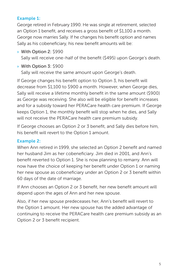#### Example 1:

George retired in February 1990. He was single at retirement, selected an Option 1 benefit, and receives a gross benefit of \$1,100 a month. George now marries Sally. If he changes his benefit option and names Sally as his cobeneficiary, his new benefit amounts will be:

» With Option 2: \$990

Sally will receive one-half of the benefit (\$495) upon George's death.

#### » With Option 3: \$900

Sally will receive the same amount upon George's death.

If George changes his benefit option to Option 3, his benefit will decrease from \$1,100 to \$900 a month. However, when George dies, Sally will receive a lifetime monthly benefit in the same amount (\$900) as George was receiving. She also will be eligible for benefit increases and for a subsidy toward her PERACare health care premium. If George keeps Option 1, the monthly benefit will stop when he dies, and Sally will not receive the PERACare health care premium subsidy.

If George chooses an Option 2 or 3 benefit, and Sally dies before him, his benefit will revert to the Option 1 amount.

#### Example 2:

When Ann retired in 1999, she selected an Option 2 benefit and named her husband Jim as her cobeneficiary. Jim died in 2001, and Ann's benefit reverted to Option 1. She is now planning to remarry. Ann will now have the choice of keeping her benefit under Option 1 or naming her new spouse as cobeneficiary under an Option 2 or 3 benefit within 60 days of the date of marriage.

If Ann chooses an Option 2 or 3 benefit, her new benefit amount will depend upon the ages of Ann and her new spouse.

Also, if her new spouse predeceases her, Ann's benefit will revert to the Option 1 amount. Her new spouse has the added advantage of continuing to receive the PERACare health care premium subsidy as an Option 2 or 3 benefit recipient.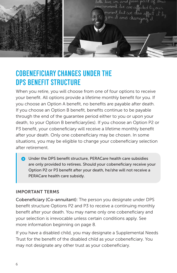

### **COBENEFICIARY CHANGES UNDER THE DPS BENEFIT STRUCTURE**

When you retire, you will choose from one of four options to receive your benefit. All options provide a lifetime monthly benefit for you. If you choose an Option A benefit, no benefits are payable after death. If you choose an Option B benefit, benefits continue to be payable through the end of the guarantee period either to you or upon your death, to your Option B beneficiary(ies). If you choose an Option P2 or P3 benefit, your cobeneficiary will receive a lifetime monthly benefit after your death. Only one cobeneficiary may be chosen. In some situations, you may be eligible to change your cobeneficiary selection after retirement.

**C** Under the DPS benefit structure, PERACare health care subsidies are only provided to retirees. Should your cobeneficiary receive your Option P2 or P3 benefit after your death, he/she will not receive a PERACare health care subsidy.

#### IMPORTANT TERMS

Cobeneficiary (Co-annuitant): The person you designate under DPS benefit structure Options P2 and P3 to receive a continuing monthly benefit after your death. You may name only one cobeneficiary and your selection is irrevocable unless certain conditions apply. See more information beginning on page 8.

If you have a disabled child, you may designate a Supplemental Needs Trust for the benefit of the disabled child as your cobeneficiary. You may not designate any other trust as your cobeneficiary.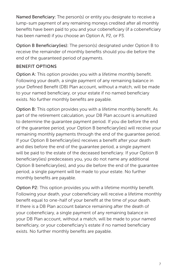Named Beneficiary: The person(s) or entity you designate to receive a lump-sum payment of any remaining moneys credited after all monthly benefits have been paid to you and your cobeneficiary (if a cobeneficiary has been named) if you choose an Option A, P2, or P3.

Option B Beneficiary(ies): The person(s) designated under Option B to receive the remainder of monthly benefits should you die before the end of the guaranteed period of payments.

#### BENEFIT OPTIONS

Option A: This option provides you with a lifetime monthly benefit. Following your death, a single payment of any remaining balance in your Defined Benefit (DB) Plan account, without a match, will be made to your named beneficiary, or your estate if no named beneficiary exists. No further monthly benefits are payable.

Option B: This option provides you with a lifetime monthly benefit. As part of the retirement calculation, your DB Plan account is annuitized to determine the guarantee payment period. If you die before the end of the guarantee period, your Option B beneficiary(ies) will receive your remaining monthly payments through the end of the guarantee period. If your Option B beneficiary(ies) receives a benefit after your death and dies before the end of the guarantee period, a single payment will be paid to the estate of the deceased beneficiary. If your Option B beneficiary(ies) predeceases you, you do not name any additional Option B beneficiary(ies), and you die before the end of the guarantee period, a single payment will be made to your estate. No further monthly benefits are payable.

Option P2: This option provides you with a lifetime monthly benefit. Following your death, your cobeneficiary will receive a lifetime monthly benefit equal to one-half of your benefit at the time of your death. If there is a DB Plan account balance remaining after the death of your cobeneficiary, a single payment of any remaining balance in your DB Plan account, without a match, will be made to your named beneficiary, or your cobeneficiary's estate if no named beneficiary exists. No further monthly benefits are payable.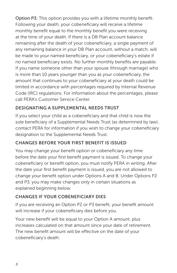Option P3: This option provides you with a lifetime monthly benefit. Following your death, your cobeneficiary will receive a lifetime monthly benefit equal to the monthly benefit you were receiving at the time of your death. If there is a DB Plan account balance remaining after the death of your cobeneficiary, a single payment of any remaining balance in your DB Plan account, without a match, will be made to your named beneficiary, or your cobeneficiary's estate if no named beneficiary exists. No further monthly benefits are payable. If you name someone other than your spouse (through marriage) who is more than 10 years younger than you as your cobeneficiary, the amount that continues to your cobeneficiary at your death could be limited in accordance with percentages required by Internal Revenue Code (IRC) regulations. For information about the percentages, please call PERA's Customer Service Center.

#### DESIGNATING A SUPPLEMENTAL NEEDS TRUST

If you select your child as a cobeneficiary and that child is now the sole beneficiary of a Supplemental Needs Trust (as determined by law), contact PERA for information if you wish to change your cobeneficiary designation to the Supplemental Needs Trust.

#### CHANGES BEFORE YOUR FIRST BENEFIT IS ISSUED

You may change your benefit option or cobeneficiary any time before the date your first benefit payment is issued. To change your cobeneficiary or benefit option, you must notify PERA in writing. After the date your first benefit payment is issued, you are not allowed to change your benefit option under Options A and B. Under Options P2 and P3, you may make changes only in certain situations as explained beginning below.

#### CHANGES IF YOUR COBENEFICIARY DIES

If you are receiving an Option P2 or P3 benefit, your benefit amount will increase if your cobeneficiary dies before you.

Your new benefit will be equal to your Option A amount, plus increases calculated on that amount since your date of retirement. The new benefit amount will be effective on the date of your cobeneficiary's death.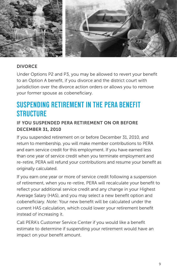

#### DIVORCE

Under Options P2 and P3, you may be allowed to revert your benefit to an Option A benefit, if you divorce and the district court with jurisdiction over the divorce action orders or allows you to remove your former spouse as cobeneficiary.

### **SUSPENDING RETIREMENT IN THE PERA BENEFIT STRUCTURE**

#### IF YOU SUSPENDED PERA RETIREMENT ON OR BEFORE DECEMBER 31, 2010

If you suspended retirement on or before December 31, 2010, and return to membership, you will make member contributions to PERA and earn service credit for this employment. If you have earned less than one year of service credit when you terminate employment and re-retire, PERA will refund your contributions and resume your benefit as originally calculated.

If you earn one year or more of service credit following a suspension of retirement, when you re-retire, PERA will recalculate your benefit to reflect your additional service credit and any change in your Highest Average Salary (HAS), and you may select a new benefit option and cobeneficiary. *Note*: Your new benefit will be calculated under the current HAS calculation, which could lower your retirement benefit instead of increasing it.

Call PERA's Customer Service Center if you would like a benefit estimate to determine if suspending your retirement would have an impact on your benefit amount.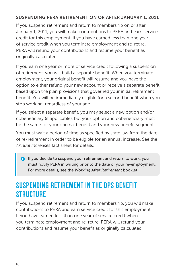#### SUSPENDING PERA RETIREMENT ON OR AFTER JANUARY 1, 2011

If you suspend retirement and return to membership on or after January 1, 2011, you will make contributions to PERA and earn service credit for this employment. If you have earned less than one year of service credit when you terminate employment and re-retire, PERA will refund your contributions and resume your benefit as originally calculated.

If you earn one year or more of service credit following a suspension of retirement, you will build a separate benefit. When you terminate employment, your original benefit will resume and you have the option to either refund your new account or receive a separate benefit based upon the plan provisions that governed your initial retirement benefit. You will be immediately eligible for a second benefit when you stop working, regardless of your age.

If you select a separate benefit, you may select a new option and/or cobeneficiary (if applicable), but your option and cobeneficiary must be the same for your original benefit and your new benefit segment.

You must wait a period of time as specified by state law from the date of re-retirement in order to be eligible for an annual increase. See the *Annual Increases* fact sheet for details.

**If you decide to suspend your retirement and return to work, you** must notify PERA in writing prior to the date of your re-employment. For more details, see the *Working After Retirement* booklet.

## **SUSPENDING RETIREMENT IN THE DPS BENEFIT STRUCTURE**

If you suspend retirement and return to membership, you will make contributions to PERA and earn service credit for this employment. If you have earned less than one year of service credit when you terminate employment and re-retire, PERA will refund your contributions and resume your benefit as originally calculated.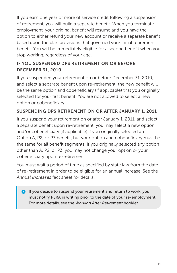If you earn one year or more of service credit following a suspension of retirement, you will build a separate benefit. When you terminate employment, your original benefit will resume and you have the option to either refund your new account or receive a separate benefit based upon the plan provisions that governed your initial retirement benefit. You will be immediately eligible for a second benefit when you stop working, regardless of your age.

#### IF YOU SUSPENDED DPS RETIREMENT ON OR BEFORE DECEMBER 31, 2010

If you suspended your retirement on or before December 31, 2010, and select a separate benefit upon re-retirement, the new benefit will be the same option and cobeneficiary (if applicable) that you originally selected for your first benefit. You are not allowed to select a new option or cobeneficiary.

#### SUSPENDING DPS RETIREMENT ON OR AFTER JANUARY 1, 2011

If you suspend your retirement on or after January 1, 2011, and select a separate benefit upon re-retirement, you may select a new option and/or cobeneficiary (if applicable) if you originally selected an Option A, P2, or P3 benefit, but your option and cobeneficiary must be the same for all benefit segments. If you originally selected any option other than A, P2, or P3, you may not change your option or your cobeneficiary upon re-retirement.

You must wait a period of time as specified by state law from the date of re-retirement in order to be eligible for an annual increase. See the *Annual Increases* fact sheet for details.

**If you decide to suspend your retirement and return to work, you** must notify PERA in writing prior to the date of your re-employment. For more details, see the *Working After Retirement* booklet.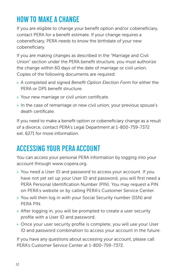## **HOW TO MAKE A CHANGE**

If you are eligible to change your benefit option and/or cobeneficiary, contact PERA for a benefit estimate. If your change requires a cobeneficiary, PERA needs to know the birthdate of your new cobeneficiary.

If you are making changes as described in the "Marriage and Civil Union" section under the PERA benefit structure, you must authorize the change within 60 days of the date of marriage or civil union. Copies of the following documents are required:

- » A completed and signed *Benefit Option Election Form* for either the PERA or DPS benefit structure.
- » Your new marriage or civil union certificate.
- » In the case of remarriage or new civil union, your previous spouse's death certificate.

If you need to make a benefit option or cobeneficiary change as a result of a divorce, contact PERA's Legal Department at 1-800-759-7372 ext. 6271 for more information.

## **ACCESSING YOUR PERA ACCOUNT**

You can access your personal PERA information by logging into your account through www.copera.org.

- » You need a User ID and password to access your account. If you have not yet set up your User ID and password, you will first need a PERA Personal Identification Number (PIN). You may request a PIN on PERA's website or by calling PERA's Customer Service Center.
- » You will then log in with your Social Security number (SSN) and PERA PIN.
- » After logging in, you will be prompted to create a user security profile with a User ID and password.
- » Once your user security profile is complete, you will use your User ID and password combination to access your account in the future.

If you have any questions about accessing your account, please call PERA's Customer Service Center at 1-800-759-7372.